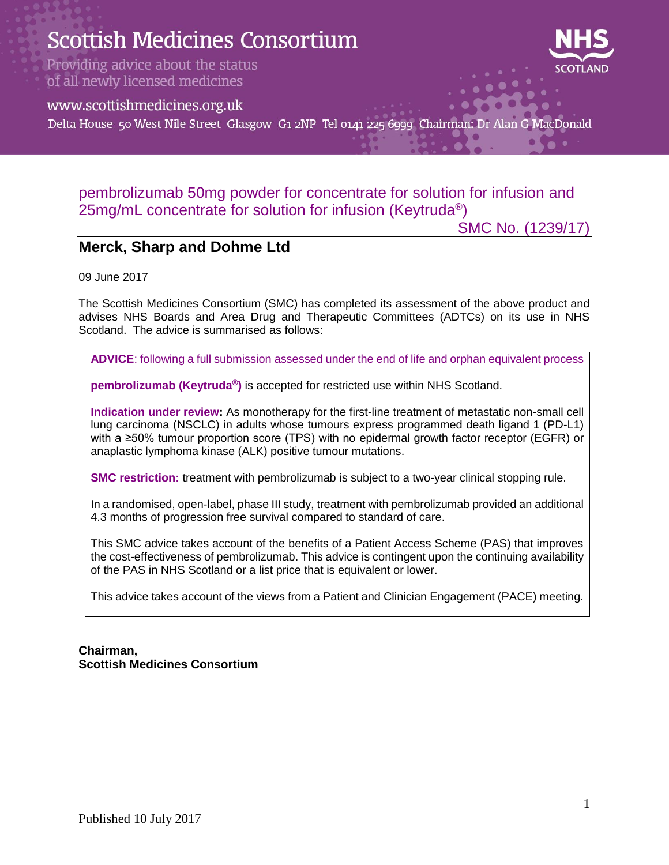

### pembrolizumab 50mg powder for concentrate for solution for infusion and 25mg/mL concentrate for solution for infusion (Keytruda®)

SMC No. (1239/17)

### **Merck, Sharp and Dohme Ltd**

09 June 2017

The Scottish Medicines Consortium (SMC) has completed its assessment of the above product and advises NHS Boards and Area Drug and Therapeutic Committees (ADTCs) on its use in NHS Scotland. The advice is summarised as follows:

**ADVICE**: following a full submission assessed under the end of life and orphan equivalent process

**pembrolizumab (Keytruda®)** is accepted for restricted use within NHS Scotland.

**Indication under review:** As monotherapy for the first-line treatment of metastatic non-small cell lung carcinoma (NSCLC) in adults whose tumours express programmed death ligand 1 (PD-L1) with a ≥50% tumour proportion score (TPS) with no epidermal growth factor receptor (EGFR) or anaplastic lymphoma kinase (ALK) positive tumour mutations.

**SMC restriction:** treatment with pembrolizumab is subject to a two-year clinical stopping rule.

In a randomised, open-label, phase III study, treatment with pembrolizumab provided an additional 4.3 months of progression free survival compared to standard of care.

This SMC advice takes account of the benefits of a Patient Access Scheme (PAS) that improves the cost-effectiveness of pembrolizumab. This advice is contingent upon the continuing availability of the PAS in NHS Scotland or a list price that is equivalent or lower.

This advice takes account of the views from a Patient and Clinician Engagement (PACE) meeting.

#### **Chairman, Scottish Medicines Consortium**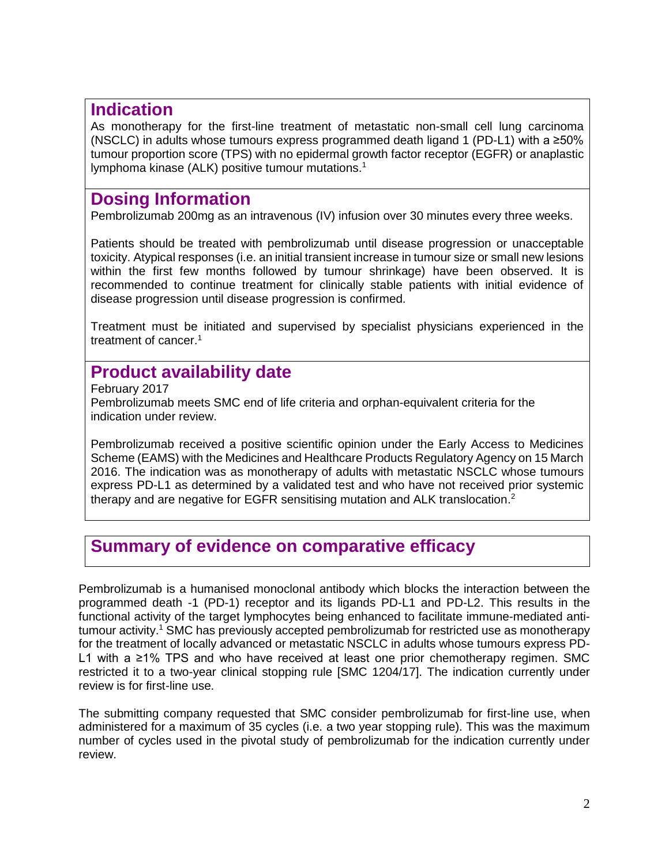### **Indication**

As monotherapy for the first-line treatment of metastatic non-small cell lung carcinoma (NSCLC) in adults whose tumours express programmed death ligand 1 (PD-L1) with a  $\geq 50\%$ tumour proportion score (TPS) with no epidermal growth factor receptor (EGFR) or anaplastic lymphoma kinase (ALK) positive tumour mutations.<sup>1</sup>

## **Dosing Information**

Pembrolizumab 200mg as an intravenous (IV) infusion over 30 minutes every three weeks.

Patients should be treated with pembrolizumab until disease progression or unacceptable toxicity. Atypical responses (i.e. an initial transient increase in tumour size or small new lesions within the first few months followed by tumour shrinkage) have been observed. It is recommended to continue treatment for clinically stable patients with initial evidence of disease progression until disease progression is confirmed.

Treatment must be initiated and supervised by specialist physicians experienced in the treatment of cancer.<sup>1</sup>

# **Product availability date**

February 2017 Pembrolizumab meets SMC end of life criteria and orphan-equivalent criteria for the indication under review.

Pembrolizumab received a positive scientific opinion under the Early Access to Medicines Scheme (EAMS) with the Medicines and Healthcare Products Regulatory Agency on 15 March 2016. The indication was as monotherapy of adults with metastatic NSCLC whose tumours express PD-L1 as determined by a validated test and who have not received prior systemic therapy and are negative for EGFR sensitising mutation and ALK translocation.<sup>2</sup>

## **Summary of evidence on comparative efficacy**

Pembrolizumab is a humanised monoclonal antibody which blocks the interaction between the programmed death -1 (PD-1) receptor and its ligands PD-L1 and PD-L2. This results in the functional activity of the target lymphocytes being enhanced to facilitate immune-mediated antitumour activity.<sup>1</sup> SMC has previously accepted pembrolizumab for restricted use as monotherapy for the treatment of locally advanced or metastatic NSCLC in adults whose tumours express PD-L1 with a ≥1% TPS and who have received at least one prior chemotherapy regimen. SMC restricted it to a two-year clinical stopping rule [SMC 1204/17]. The indication currently under review is for first-line use.

The submitting company requested that SMC consider pembrolizumab for first-line use, when administered for a maximum of 35 cycles (i.e. a two year stopping rule). This was the maximum number of cycles used in the pivotal study of pembrolizumab for the indication currently under review.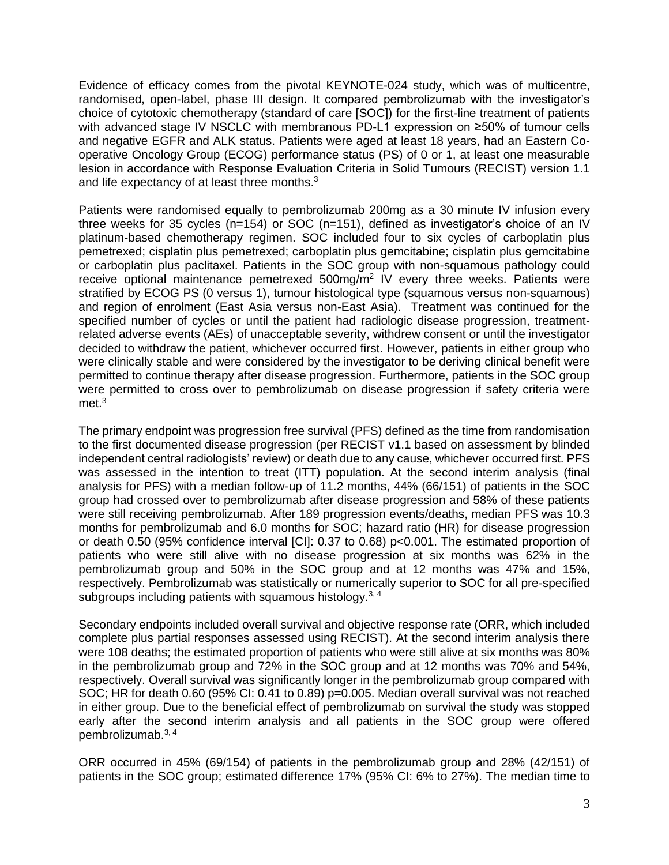Evidence of efficacy comes from the pivotal KEYNOTE-024 study, which was of multicentre, randomised, open-label, phase III design. It compared pembrolizumab with the investigator's choice of cytotoxic chemotherapy (standard of care [SOC]) for the first-line treatment of patients with advanced stage IV NSCLC with membranous PD-L1 expression on ≥50% of tumour cells and negative EGFR and ALK status. Patients were aged at least 18 years, had an Eastern Cooperative Oncology Group (ECOG) performance status (PS) of 0 or 1, at least one measurable lesion in accordance with Response Evaluation Criteria in Solid Tumours (RECIST) version 1.1 and life expectancy of at least three months.<sup>3</sup>

Patients were randomised equally to pembrolizumab 200mg as a 30 minute IV infusion every three weeks for 35 cycles (n=154) or SOC (n=151), defined as investigator's choice of an IV platinum-based chemotherapy regimen. SOC included four to six cycles of carboplatin plus pemetrexed; cisplatin plus pemetrexed; carboplatin plus gemcitabine; cisplatin plus gemcitabine or carboplatin plus paclitaxel. Patients in the SOC group with non-squamous pathology could receive optional maintenance pemetrexed  $500$ mg/m<sup>2</sup> IV every three weeks. Patients were stratified by ECOG PS (0 versus 1), tumour histological type (squamous versus non-squamous) and region of enrolment (East Asia versus non-East Asia). Treatment was continued for the specified number of cycles or until the patient had radiologic disease progression, treatmentrelated adverse events (AEs) of unacceptable severity, withdrew consent or until the investigator decided to withdraw the patient, whichever occurred first. However, patients in either group who were clinically stable and were considered by the investigator to be deriving clinical benefit were permitted to continue therapy after disease progression. Furthermore, patients in the SOC group were permitted to cross over to pembrolizumab on disease progression if safety criteria were met.<sup>3</sup>

The primary endpoint was progression free survival (PFS) defined as the time from randomisation to the first documented disease progression (per RECIST v1.1 based on assessment by blinded independent central radiologists' review) or death due to any cause, whichever occurred first. PFS was assessed in the intention to treat (ITT) population. At the second interim analysis (final analysis for PFS) with a median follow-up of 11.2 months, 44% (66/151) of patients in the SOC group had crossed over to pembrolizumab after disease progression and 58% of these patients were still receiving pembrolizumab. After 189 progression events/deaths, median PFS was 10.3 months for pembrolizumab and 6.0 months for SOC; hazard ratio (HR) for disease progression or death 0.50 (95% confidence interval [CI]: 0.37 to 0.68) p<0.001. The estimated proportion of patients who were still alive with no disease progression at six months was 62% in the pembrolizumab group and 50% in the SOC group and at 12 months was 47% and 15%, respectively. Pembrolizumab was statistically or numerically superior to SOC for all pre-specified subgroups including patients with squamous histology.<sup>3,4</sup>

Secondary endpoints included overall survival and objective response rate (ORR, which included complete plus partial responses assessed using RECIST). At the second interim analysis there were 108 deaths; the estimated proportion of patients who were still alive at six months was 80% in the pembrolizumab group and 72% in the SOC group and at 12 months was 70% and 54%, respectively. Overall survival was significantly longer in the pembrolizumab group compared with SOC; HR for death 0.60 (95% CI: 0.41 to 0.89) p=0.005. Median overall survival was not reached in either group. Due to the beneficial effect of pembrolizumab on survival the study was stopped early after the second interim analysis and all patients in the SOC group were offered pembrolizumab.3, 4

ORR occurred in 45% (69/154) of patients in the pembrolizumab group and 28% (42/151) of patients in the SOC group; estimated difference 17% (95% CI: 6% to 27%). The median time to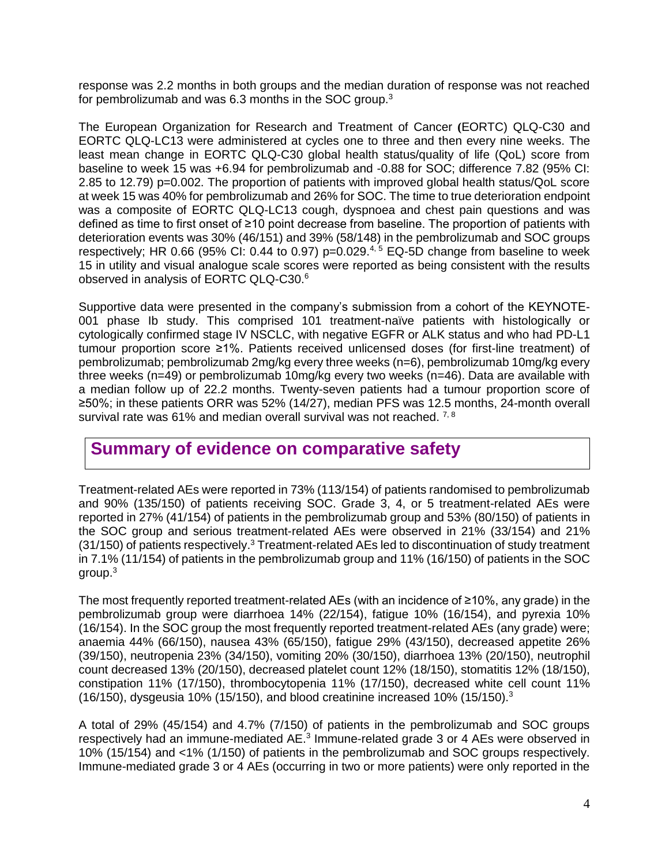response was 2.2 months in both groups and the median duration of response was not reached for pembrolizumab and was 6.3 months in the SOC group.<sup>3</sup>

The European Organization for Research and Treatment of Cancer **(**EORTC) QLQ-C30 and EORTC QLQ-LC13 were administered at cycles one to three and then every nine weeks. The least mean change in EORTC QLQ-C30 global health status/quality of life (QoL) score from baseline to week 15 was +6.94 for pembrolizumab and -0.88 for SOC; difference 7.82 (95% CI: 2.85 to 12.79) p=0.002. The proportion of patients with improved global health status/QoL score at week 15 was 40% for pembrolizumab and 26% for SOC. The time to true deterioration endpoint was a composite of EORTC QLQ-LC13 cough, dyspnoea and chest pain questions and was defined as time to first onset of ≥10 point decrease from baseline. The proportion of patients with deterioration events was 30% (46/151) and 39% (58/148) in the pembrolizumab and SOC groups respectively; HR 0.66 (95% CI: 0.44 to 0.97) p=0.029.<sup>4, 5</sup> EQ-5D change from baseline to week 15 in utility and visual analogue scale scores were reported as being consistent with the results observed in analysis of EORTC QLQ-C30.<sup>6</sup>

Supportive data were presented in the company's submission from a cohort of the KEYNOTE-001 phase Ib study. This comprised 101 treatment-naïve patients with histologically or cytologically confirmed stage IV NSCLC, with negative EGFR or ALK status and who had PD-L1 tumour proportion score ≥1%. Patients received unlicensed doses (for first-line treatment) of pembrolizumab; pembrolizumab 2mg/kg every three weeks (n=6), pembrolizumab 10mg/kg every three weeks (n=49) or pembrolizumab 10mg/kg every two weeks (n=46). Data are available with a median follow up of 22.2 months. Twenty-seven patients had a tumour proportion score of ≥50%; in these patients ORR was 52% (14/27), median PFS was 12.5 months, 24-month overall survival rate was 61% and median overall survival was not reached. <sup>7, 8</sup>

### **Summary of evidence on comparative safety**

Treatment-related AEs were reported in 73% (113/154) of patients randomised to pembrolizumab and 90% (135/150) of patients receiving SOC. Grade 3, 4, or 5 treatment-related AEs were reported in 27% (41/154) of patients in the pembrolizumab group and 53% (80/150) of patients in the SOC group and serious treatment-related AEs were observed in 21% (33/154) and 21% (31/150) of patients respectively.<sup>3</sup> Treatment-related AEs led to discontinuation of study treatment in 7.1% (11/154) of patients in the pembrolizumab group and 11% (16/150) of patients in the SOC group.<sup>3</sup>

The most frequently reported treatment-related AEs (with an incidence of ≥10%, any grade) in the pembrolizumab group were diarrhoea 14% (22/154), fatigue 10% (16/154), and pyrexia 10% (16/154). In the SOC group the most frequently reported treatment-related AEs (any grade) were; anaemia 44% (66/150), nausea 43% (65/150), fatigue 29% (43/150), decreased appetite 26% (39/150), neutropenia 23% (34/150), vomiting 20% (30/150), diarrhoea 13% (20/150), neutrophil count decreased 13% (20/150), decreased platelet count 12% (18/150), stomatitis 12% (18/150), constipation 11% (17/150), thrombocytopenia 11% (17/150), decreased white cell count 11% (16/150), dysgeusia 10% (15/150), and blood creatinine increased 10% (15/150).<sup>3</sup>

A total of 29% (45/154) and 4.7% (7/150) of patients in the pembrolizumab and SOC groups respectively had an immune-mediated AE.<sup>3</sup> Immune-related grade 3 or 4 AEs were observed in 10% (15/154) and <1% (1/150) of patients in the pembrolizumab and SOC groups respectively. Immune-mediated grade 3 or 4 AEs (occurring in two or more patients) were only reported in the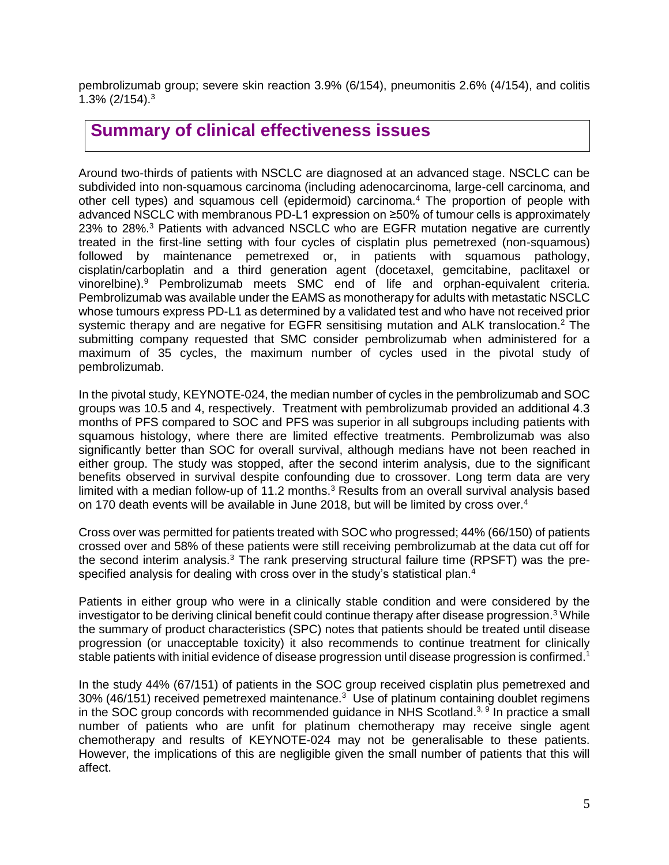pembrolizumab group; severe skin reaction 3.9% (6/154), pneumonitis 2.6% (4/154), and colitis 1.3% (2/154). 3

### **Summary of clinical effectiveness issues**

Around two-thirds of patients with NSCLC are diagnosed at an advanced stage. NSCLC can be subdivided into non-squamous carcinoma (including adenocarcinoma, large-cell carcinoma, and other cell types) and squamous cell (epidermoid) carcinoma. <sup>4</sup> The proportion of people with advanced NSCLC with membranous PD-L1 expression on ≥50% of tumour cells is approximately 23% to 28%.<sup>3</sup> Patients with advanced NSCLC who are EGFR mutation negative are currently treated in the first-line setting with four cycles of cisplatin plus pemetrexed (non-squamous) followed by maintenance pemetrexed or, in patients with squamous pathology, cisplatin/carboplatin and a third generation agent (docetaxel, gemcitabine, paclitaxel or vinorelbine).<sup>9</sup> Pembrolizumab meets SMC end of life and orphan-equivalent criteria. Pembrolizumab was available under the EAMS as monotherapy for adults with metastatic NSCLC whose tumours express PD-L1 as determined by a validated test and who have not received prior systemic therapy and are negative for EGFR sensitising mutation and ALK translocation.<sup>2</sup> The submitting company requested that SMC consider pembrolizumab when administered for a maximum of 35 cycles, the maximum number of cycles used in the pivotal study of pembrolizumab.

In the pivotal study, KEYNOTE-024, the median number of cycles in the pembrolizumab and SOC groups was 10.5 and 4, respectively. Treatment with pembrolizumab provided an additional 4.3 months of PFS compared to SOC and PFS was superior in all subgroups including patients with squamous histology, where there are limited effective treatments. Pembrolizumab was also significantly better than SOC for overall survival, although medians have not been reached in either group. The study was stopped, after the second interim analysis, due to the significant benefits observed in survival despite confounding due to crossover. Long term data are very limited with a median follow-up of 11.2 months.<sup>3</sup> Results from an overall survival analysis based on 170 death events will be available in June 2018, but will be limited by cross over. 4

Cross over was permitted for patients treated with SOC who progressed; 44% (66/150) of patients crossed over and 58% of these patients were still receiving pembrolizumab at the data cut off for the second interim analysis.<sup>3</sup> The rank preserving structural failure time (RPSFT) was the prespecified analysis for dealing with cross over in the study's statistical plan.<sup>4</sup>

Patients in either group who were in a clinically stable condition and were considered by the investigator to be deriving clinical benefit could continue therapy after disease progression.<sup>3</sup> While the summary of product characteristics (SPC) notes that patients should be treated until disease progression (or unacceptable toxicity) it also recommends to continue treatment for clinically stable patients with initial evidence of disease progression until disease progression is confirmed.<sup>1</sup>

In the study 44% (67/151) of patients in the SOC group received cisplatin plus pemetrexed and 30% (46/151) received pemetrexed maintenance.<sup>3</sup> Use of platinum containing doublet regimens in the SOC group concords with recommended quidance in NHS Scotland.<sup>3, 9</sup> In practice a small number of patients who are unfit for platinum chemotherapy may receive single agent chemotherapy and results of KEYNOTE-024 may not be generalisable to these patients. However, the implications of this are negligible given the small number of patients that this will affect.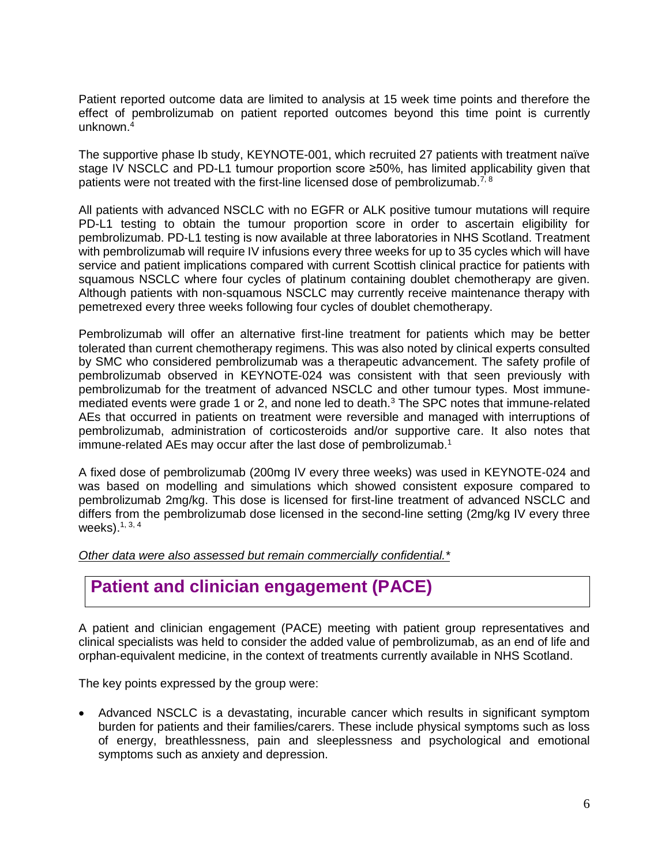Patient reported outcome data are limited to analysis at 15 week time points and therefore the effect of pembrolizumab on patient reported outcomes beyond this time point is currently unknown.<sup>4</sup>

The supportive phase Ib study, KEYNOTE-001, which recruited 27 patients with treatment naïve stage IV NSCLC and PD-L1 tumour proportion score ≥50%, has limited applicability given that patients were not treated with the first-line licensed dose of pembrolizumab.7, 8

All patients with advanced NSCLC with no EGFR or ALK positive tumour mutations will require PD-L1 testing to obtain the tumour proportion score in order to ascertain eligibility for pembrolizumab. PD-L1 testing is now available at three laboratories in NHS Scotland. Treatment with pembrolizumab will require IV infusions every three weeks for up to 35 cycles which will have service and patient implications compared with current Scottish clinical practice for patients with squamous NSCLC where four cycles of platinum containing doublet chemotherapy are given. Although patients with non-squamous NSCLC may currently receive maintenance therapy with pemetrexed every three weeks following four cycles of doublet chemotherapy.

Pembrolizumab will offer an alternative first-line treatment for patients which may be better tolerated than current chemotherapy regimens. This was also noted by clinical experts consulted by SMC who considered pembrolizumab was a therapeutic advancement. The safety profile of pembrolizumab observed in KEYNOTE-024 was consistent with that seen previously with pembrolizumab for the treatment of advanced NSCLC and other tumour types. Most immunemediated events were grade 1 or 2, and none led to death.<sup>3</sup> The SPC notes that immune-related AEs that occurred in patients on treatment were reversible and managed with interruptions of pembrolizumab, administration of corticosteroids and/or supportive care. It also notes that immune-related AEs may occur after the last dose of pembrolizumab.<sup>1</sup>

A fixed dose of pembrolizumab (200mg IV every three weeks) was used in KEYNOTE-024 and was based on modelling and simulations which showed consistent exposure compared to pembrolizumab 2mg/kg. This dose is licensed for first-line treatment of advanced NSCLC and differs from the pembrolizumab dose licensed in the second-line setting (2mg/kg IV every three weeks).1, 3, 4

*Other data were also assessed but remain commercially confidential.\**

## **Patient and clinician engagement (PACE)**

A patient and clinician engagement (PACE) meeting with patient group representatives and clinical specialists was held to consider the added value of pembrolizumab, as an end of life and orphan-equivalent medicine, in the context of treatments currently available in NHS Scotland.

The key points expressed by the group were:

 Advanced NSCLC is a devastating, incurable cancer which results in significant symptom burden for patients and their families/carers. These include physical symptoms such as loss of energy, breathlessness, pain and sleeplessness and psychological and emotional symptoms such as anxiety and depression.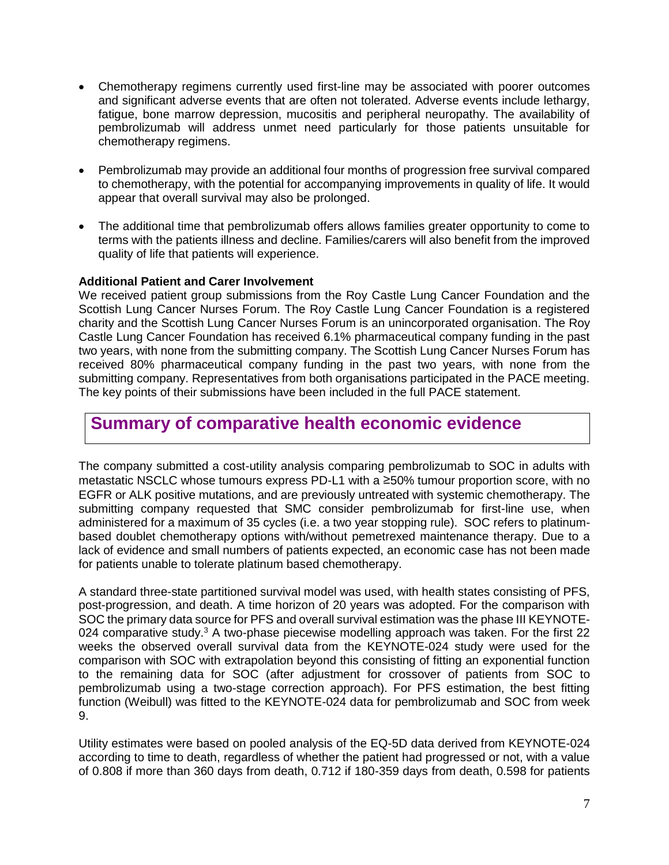- Chemotherapy regimens currently used first-line may be associated with poorer outcomes and significant adverse events that are often not tolerated. Adverse events include lethargy, fatigue, bone marrow depression, mucositis and peripheral neuropathy. The availability of pembrolizumab will address unmet need particularly for those patients unsuitable for chemotherapy regimens.
- Pembrolizumab may provide an additional four months of progression free survival compared to chemotherapy, with the potential for accompanying improvements in quality of life. It would appear that overall survival may also be prolonged.
- The additional time that pembrolizumab offers allows families greater opportunity to come to terms with the patients illness and decline. Families/carers will also benefit from the improved quality of life that patients will experience.

#### **Additional Patient and Carer Involvement**

We received patient group submissions from the Roy Castle Lung Cancer Foundation and the Scottish Lung Cancer Nurses Forum. The Roy Castle Lung Cancer Foundation is a registered charity and the Scottish Lung Cancer Nurses Forum is an unincorporated organisation. The Roy Castle Lung Cancer Foundation has received 6.1% pharmaceutical company funding in the past two years, with none from the submitting company. The Scottish Lung Cancer Nurses Forum has received 80% pharmaceutical company funding in the past two years, with none from the submitting company. Representatives from both organisations participated in the PACE meeting. The key points of their submissions have been included in the full PACE statement.

### **Summary of comparative health economic evidence**

The company submitted a cost-utility analysis comparing pembrolizumab to SOC in adults with metastatic NSCLC whose tumours express PD-L1 with a ≥50% tumour proportion score, with no EGFR or ALK positive mutations, and are previously untreated with systemic chemotherapy. The submitting company requested that SMC consider pembrolizumab for first-line use, when administered for a maximum of 35 cycles (i.e. a two year stopping rule). SOC refers to platinumbased doublet chemotherapy options with/without pemetrexed maintenance therapy. Due to a lack of evidence and small numbers of patients expected, an economic case has not been made for patients unable to tolerate platinum based chemotherapy.

A standard three-state partitioned survival model was used, with health states consisting of PFS, post-progression, and death. A time horizon of 20 years was adopted. For the comparison with SOC the primary data source for PFS and overall survival estimation was the phase III KEYNOTE-024 comparative study.<sup>3</sup> A two-phase piecewise modelling approach was taken. For the first 22 weeks the observed overall survival data from the KEYNOTE-024 study were used for the comparison with SOC with extrapolation beyond this consisting of fitting an exponential function to the remaining data for SOC (after adjustment for crossover of patients from SOC to pembrolizumab using a two-stage correction approach). For PFS estimation, the best fitting function (Weibull) was fitted to the KEYNOTE-024 data for pembrolizumab and SOC from week 9.

Utility estimates were based on pooled analysis of the EQ-5D data derived from KEYNOTE-024 according to time to death, regardless of whether the patient had progressed or not, with a value of 0.808 if more than 360 days from death, 0.712 if 180-359 days from death, 0.598 for patients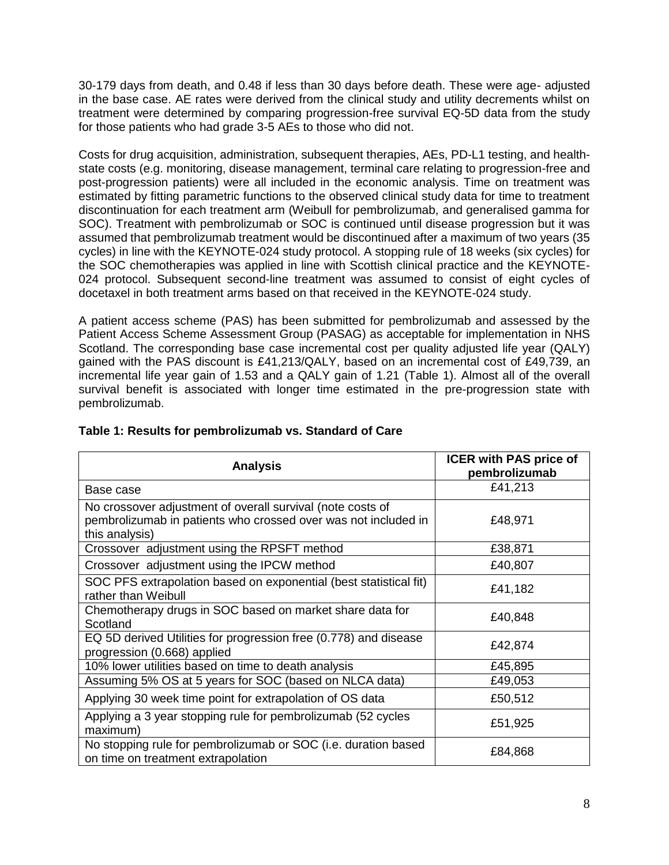30-179 days from death, and 0.48 if less than 30 days before death. These were age- adjusted in the base case. AE rates were derived from the clinical study and utility decrements whilst on treatment were determined by comparing progression-free survival EQ-5D data from the study for those patients who had grade 3-5 AEs to those who did not.

Costs for drug acquisition, administration, subsequent therapies, AEs, PD-L1 testing, and healthstate costs (e.g. monitoring, disease management, terminal care relating to progression-free and post-progression patients) were all included in the economic analysis. Time on treatment was estimated by fitting parametric functions to the observed clinical study data for time to treatment discontinuation for each treatment arm (Weibull for pembrolizumab, and generalised gamma for SOC). Treatment with pembrolizumab or SOC is continued until disease progression but it was assumed that pembrolizumab treatment would be discontinued after a maximum of two years (35 cycles) in line with the KEYNOTE-024 study protocol. A stopping rule of 18 weeks (six cycles) for the SOC chemotherapies was applied in line with Scottish clinical practice and the KEYNOTE-024 protocol. Subsequent second-line treatment was assumed to consist of eight cycles of docetaxel in both treatment arms based on that received in the KEYNOTE-024 study.

A patient access scheme (PAS) has been submitted for pembrolizumab and assessed by the Patient Access Scheme Assessment Group (PASAG) as acceptable for implementation in NHS Scotland. The corresponding base case incremental cost per quality adjusted life year (QALY) gained with the PAS discount is £41,213/QALY, based on an incremental cost of £49,739, an incremental life year gain of 1.53 and a QALY gain of 1.21 (Table 1). Almost all of the overall survival benefit is associated with longer time estimated in the pre-progression state with pembrolizumab.

| <b>Analysis</b>                                                                                                                                | <b>ICER with PAS price of</b><br>pembrolizumab |
|------------------------------------------------------------------------------------------------------------------------------------------------|------------------------------------------------|
| Base case                                                                                                                                      | £41,213                                        |
| No crossover adjustment of overall survival (note costs of<br>pembrolizumab in patients who crossed over was not included in<br>this analysis) | £48,971                                        |
| Crossover adjustment using the RPSFT method                                                                                                    | £38,871                                        |
| Crossover adjustment using the IPCW method                                                                                                     | £40,807                                        |
| SOC PFS extrapolation based on exponential (best statistical fit)<br>rather than Weibull                                                       | £41,182                                        |
| Chemotherapy drugs in SOC based on market share data for<br>Scotland                                                                           | £40,848                                        |
| EQ 5D derived Utilities for progression free (0.778) and disease<br>progression (0.668) applied                                                | £42,874                                        |
| 10% lower utilities based on time to death analysis                                                                                            | £45,895                                        |
| Assuming 5% OS at 5 years for SOC (based on NLCA data)                                                                                         | £49,053                                        |
| Applying 30 week time point for extrapolation of OS data                                                                                       | £50,512                                        |
| Applying a 3 year stopping rule for pembrolizumab (52 cycles<br>maximum)                                                                       | £51,925                                        |
| No stopping rule for pembrolizumab or SOC (i.e. duration based<br>on time on treatment extrapolation                                           | £84,868                                        |

#### **Table 1: Results for pembrolizumab vs. Standard of Care**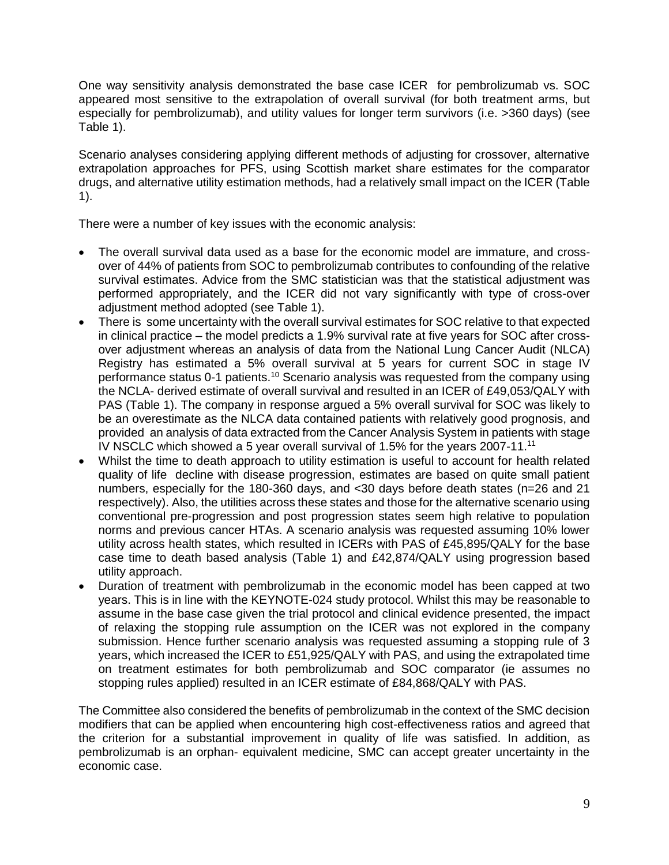One way sensitivity analysis demonstrated the base case ICER for pembrolizumab vs. SOC appeared most sensitive to the extrapolation of overall survival (for both treatment arms, but especially for pembrolizumab), and utility values for longer term survivors (i.e. >360 days) (see Table 1).

Scenario analyses considering applying different methods of adjusting for crossover, alternative extrapolation approaches for PFS, using Scottish market share estimates for the comparator drugs, and alternative utility estimation methods, had a relatively small impact on the ICER (Table 1).

There were a number of key issues with the economic analysis:

- The overall survival data used as a base for the economic model are immature, and crossover of 44% of patients from SOC to pembrolizumab contributes to confounding of the relative survival estimates. Advice from the SMC statistician was that the statistical adjustment was performed appropriately, and the ICER did not vary significantly with type of cross-over adjustment method adopted (see Table 1).
- There is some uncertainty with the overall survival estimates for SOC relative to that expected in clinical practice – the model predicts a 1.9% survival rate at five years for SOC after crossover adjustment whereas an analysis of data from the National Lung Cancer Audit (NLCA) Registry has estimated a 5% overall survival at 5 years for current SOC in stage IV performance status 0-1 patients.<sup>10</sup> Scenario analysis was requested from the company using the NCLA- derived estimate of overall survival and resulted in an ICER of £49,053/QALY with PAS (Table 1). The company in response argued a 5% overall survival for SOC was likely to be an overestimate as the NLCA data contained patients with relatively good prognosis, and provided an analysis of data extracted from the Cancer Analysis System in patients with stage IV NSCLC which showed a 5 year overall survival of 1.5% for the years 2007-11.<sup>11</sup>
- Whilst the time to death approach to utility estimation is useful to account for health related quality of life decline with disease progression, estimates are based on quite small patient numbers, especially for the 180-360 days, and <30 days before death states (n=26 and 21 respectively). Also, the utilities across these states and those for the alternative scenario using conventional pre-progression and post progression states seem high relative to population norms and previous cancer HTAs. A scenario analysis was requested assuming 10% lower utility across health states, which resulted in ICERs with PAS of £45,895/QALY for the base case time to death based analysis (Table 1) and £42,874/QALY using progression based utility approach.
- Duration of treatment with pembrolizumab in the economic model has been capped at two years. This is in line with the KEYNOTE-024 study protocol. Whilst this may be reasonable to assume in the base case given the trial protocol and clinical evidence presented, the impact of relaxing the stopping rule assumption on the ICER was not explored in the company submission. Hence further scenario analysis was requested assuming a stopping rule of 3 years, which increased the ICER to £51,925/QALY with PAS, and using the extrapolated time on treatment estimates for both pembrolizumab and SOC comparator (ie assumes no stopping rules applied) resulted in an ICER estimate of £84,868/QALY with PAS.

The Committee also considered the benefits of pembrolizumab in the context of the SMC decision modifiers that can be applied when encountering high cost-effectiveness ratios and agreed that the criterion for a substantial improvement in quality of life was satisfied. In addition, as pembrolizumab is an orphan- equivalent medicine, SMC can accept greater uncertainty in the economic case.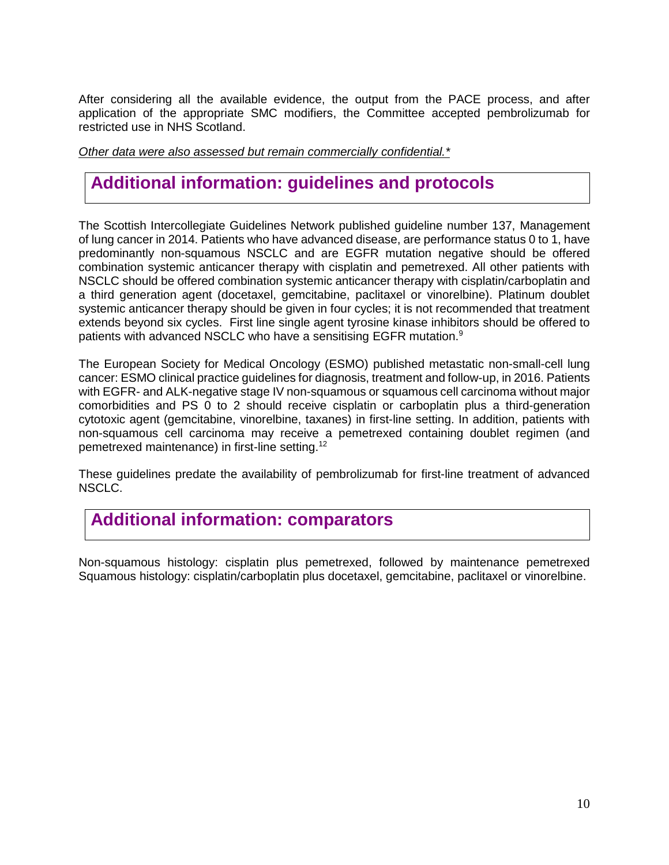After considering all the available evidence, the output from the PACE process, and after application of the appropriate SMC modifiers, the Committee accepted pembrolizumab for restricted use in NHS Scotland.

*Other data were also assessed but remain commercially confidential.\**

# **Additional information: guidelines and protocols**

The Scottish Intercollegiate Guidelines Network published guideline number 137, Management of lung cancer in 2014. Patients who have advanced disease, are performance status 0 to 1, have predominantly non-squamous NSCLC and are EGFR mutation negative should be offered combination systemic anticancer therapy with cisplatin and pemetrexed. All other patients with NSCLC should be offered combination systemic anticancer therapy with cisplatin/carboplatin and a third generation agent (docetaxel, gemcitabine, paclitaxel or vinorelbine). Platinum doublet systemic anticancer therapy should be given in four cycles; it is not recommended that treatment extends beyond six cycles. First line single agent tyrosine kinase inhibitors should be offered to patients with advanced NSCLC who have a sensitising EGFR mutation.<sup>9</sup>

The European Society for Medical Oncology (ESMO) published metastatic non-small-cell lung cancer: ESMO clinical practice guidelines for diagnosis, treatment and follow-up, in 2016. Patients with EGFR- and ALK-negative stage IV non-squamous or squamous cell carcinoma without major comorbidities and PS 0 to 2 should receive cisplatin or carboplatin plus a third-generation cytotoxic agent (gemcitabine, vinorelbine, taxanes) in first-line setting. In addition, patients with non-squamous cell carcinoma may receive a pemetrexed containing doublet regimen (and pemetrexed maintenance) in first-line setting.<sup>12</sup>

These guidelines predate the availability of pembrolizumab for first-line treatment of advanced NSCLC.

## **Additional information: comparators**

Non-squamous histology: cisplatin plus pemetrexed, followed by maintenance pemetrexed Squamous histology: cisplatin/carboplatin plus docetaxel, gemcitabine, paclitaxel or vinorelbine.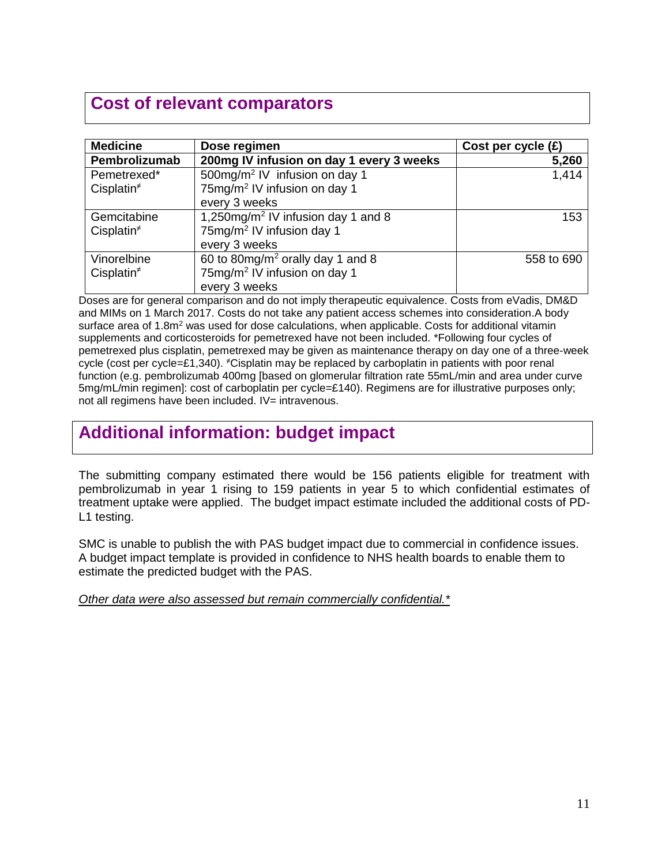# **Cost of relevant comparators**

| <b>Medicine</b> | Dose regimen                                   | Cost per cycle $(E)$ |
|-----------------|------------------------------------------------|----------------------|
| Pembrolizumab   | 200mg IV infusion on day 1 every 3 weeks       | 5,260                |
| Pemetrexed*     | 500mg/m <sup>2</sup> IV infusion on day 1      | 1,414                |
| Cisplatin $*$   | 75mg/m <sup>2</sup> IV infusion on day 1       |                      |
|                 | every 3 weeks                                  |                      |
| Gemcitabine     | 1,250mg/m <sup>2</sup> IV infusion day 1 and 8 | 153                  |
| Cisplatin $*$   | 75mg/m <sup>2</sup> IV infusion day 1          |                      |
|                 | every 3 weeks                                  |                      |
| Vinorelbine     | 60 to 80mg/m <sup>2</sup> orally day 1 and 8   | 558 to 690           |
| Cisplatin $*$   | 75mg/m <sup>2</sup> IV infusion on day 1       |                      |
|                 | every 3 weeks                                  |                      |

Doses are for general comparison and do not imply therapeutic equivalence. Costs from eVadis, DM&D and MIMs on 1 March 2017. Costs do not take any patient access schemes into consideration.A body surface area of 1.8m<sup>2</sup> was used for dose calculations, when applicable. Costs for additional vitamin supplements and corticosteroids for pemetrexed have not been included. \*Following four cycles of pemetrexed plus cisplatin, pemetrexed may be given as maintenance therapy on day one of a three-week cycle (cost per cycle=£1,340). <sup>≠</sup>Cisplatin may be replaced by carboplatin in patients with poor renal function (e.g. pembrolizumab 400mg [based on glomerular filtration rate 55mL/min and area under curve 5mg/mL/min regimen]: cost of carboplatin per cycle=£140). Regimens are for illustrative purposes only; not all regimens have been included. IV= intravenous.

# **Additional information: budget impact**

The submitting company estimated there would be 156 patients eligible for treatment with pembrolizumab in year 1 rising to 159 patients in year 5 to which confidential estimates of treatment uptake were applied. The budget impact estimate included the additional costs of PD-L1 testing.

SMC is unable to publish the with PAS budget impact due to commercial in confidence issues. A budget impact template is provided in confidence to NHS health boards to enable them to estimate the predicted budget with the PAS.

*Other data were also assessed but remain commercially confidential.\**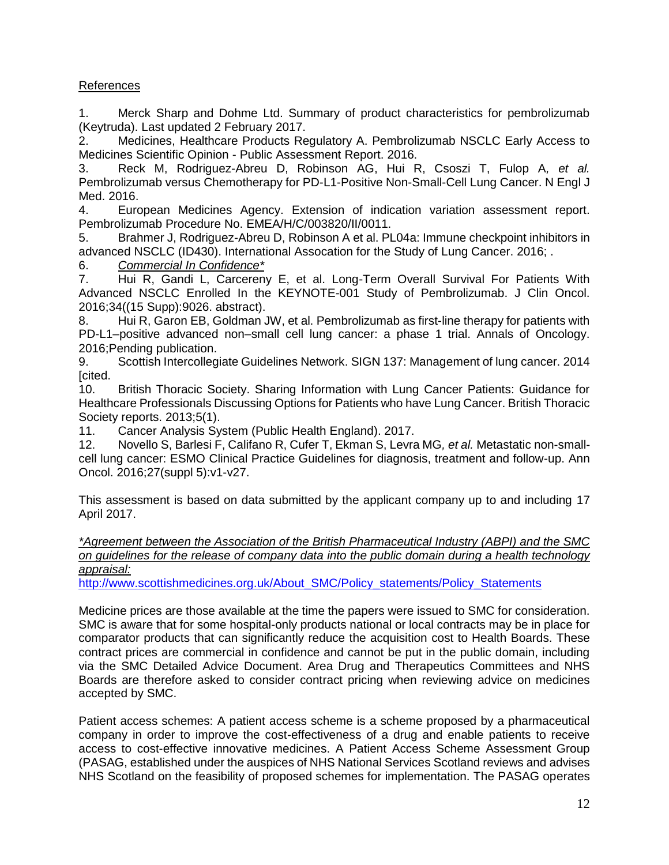#### References

1. Merck Sharp and Dohme Ltd. Summary of product characteristics for pembrolizumab (Keytruda). Last updated 2 February 2017.

2. Medicines, Healthcare Products Regulatory A. Pembrolizumab NSCLC Early Access to Medicines Scientific Opinion - Public Assessment Report. 2016.

3. Reck M, Rodriguez-Abreu D, Robinson AG, Hui R, Csoszi T, Fulop A*, et al.* Pembrolizumab versus Chemotherapy for PD-L1-Positive Non-Small-Cell Lung Cancer. N Engl J Med. 2016.

4. European Medicines Agency. Extension of indication variation assessment report. Pembrolizumab Procedure No. EMEA/H/C/003820/II/0011.

5. Brahmer J, Rodriguez-Abreu D, Robinson A et al. PL04a: Immune checkpoint inhibitors in advanced NSCLC (ID430). International Assocation for the Study of Lung Cancer. 2016; .

6. *Commercial In Confidence\**

7. Hui R, Gandi L, Carcereny E, et al. Long-Term Overall Survival For Patients With Advanced NSCLC Enrolled In the KEYNOTE-001 Study of Pembrolizumab. J Clin Oncol. 2016;34((15 Supp):9026. abstract).

8. Hui R, Garon EB, Goldman JW, et al. Pembrolizumab as first-line therapy for patients with PD-L1–positive advanced non–small cell lung cancer: a phase 1 trial. Annals of Oncology. 2016;Pending publication.

9. Scottish Intercollegiate Guidelines Network. SIGN 137: Management of lung cancer. 2014 [cited.

10. British Thoracic Society. Sharing Information with Lung Cancer Patients: Guidance for Healthcare Professionals Discussing Options for Patients who have Lung Cancer. British Thoracic Society reports. 2013;5(1).

11. Cancer Analysis System (Public Health England). 2017.

12. Novello S, Barlesi F, Califano R, Cufer T, Ekman S, Levra MG*, et al.* Metastatic non-smallcell lung cancer: ESMO Clinical Practice Guidelines for diagnosis, treatment and follow-up. Ann Oncol. 2016;27(suppl 5):v1-v27.

This assessment is based on data submitted by the applicant company up to and including 17 April 2017.

*\*Agreement between the Association of the British Pharmaceutical Industry (ABPI) and the SMC on guidelines for the release of company data into the public domain during a health technology appraisal:* 

[http://www.scottishmedicines.org.uk/About\\_SMC/Policy\\_statements/Policy\\_Statements](http://www.scottishmedicines.org.uk/About_SMC/Policy_statements/Policy_Statements)

Medicine prices are those available at the time the papers were issued to SMC for consideration. SMC is aware that for some hospital-only products national or local contracts may be in place for comparator products that can significantly reduce the acquisition cost to Health Boards. These contract prices are commercial in confidence and cannot be put in the public domain, including via the SMC Detailed Advice Document. Area Drug and Therapeutics Committees and NHS Boards are therefore asked to consider contract pricing when reviewing advice on medicines accepted by SMC.

Patient access schemes: A patient access scheme is a scheme proposed by a pharmaceutical company in order to improve the cost-effectiveness of a drug and enable patients to receive access to cost-effective innovative medicines. A Patient Access Scheme Assessment Group (PASAG, established under the auspices of NHS National Services Scotland reviews and advises NHS Scotland on the feasibility of proposed schemes for implementation. The PASAG operates